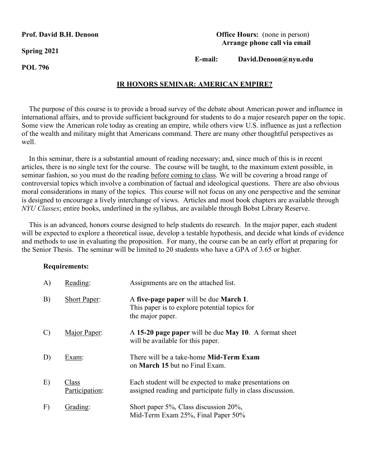**Spring 2021**

**POL 796**

### **Prof. David B.H. Denoon Office Hours:** (none in person)  **Arrange phone call via email**

 **E-mail: David.Denoon@nyu.edu**

# **IR HONORS SEMINAR: AMERICAN EMPIRE?**

The purpose of this course is to provide a broad survey of the debate about American power and influence in international affairs, and to provide sufficient background for students to do a major research paper on the topic. Some view the American role today as creating an empire, while others view U.S. influence as just a reflection of the wealth and military might that Americans command. There are many other thoughtful perspectives as well.

 In this seminar, there is a substantial amount of reading necessary; and, since much of this is in recent articles, there is no single text for the course. The course will be taught, to the maximum extent possible, in seminar fashion, so you must do the reading before coming to class. We will be covering a broad range of controversial topics which involve a combination of factual and ideological questions. There are also obvious moral considerations in many of the topics. This course will not focus on any one perspective and the seminar is designed to encourage a lively interchange of views. Articles and most book chapters are available through *NYU Classes*; entire books, underlined in the syllabus, are available through Bobst Library Reserve.

 This is an advanced, honors course designed to help students do research. In the major paper, each student will be expected to explore a theoretical issue, develop a testable hypothesis, and decide what kinds of evidence and methods to use in evaluating the proposition. For many, the course can be an early effort at preparing for the Senior Thesis. The seminar will be limited to 20 students who have a GPA of 3.65 or higher.

#### **Requirements:**

| A)            | Reading:                | Assignments are on the attached list.                                                                                 |
|---------------|-------------------------|-----------------------------------------------------------------------------------------------------------------------|
| B)            | <b>Short Paper:</b>     | A five-page paper will be due March 1.<br>This paper is to explore potential topics for<br>the major paper.           |
| $\mathcal{C}$ | Major Paper:            | A 15-20 page paper will be due May 10. A format sheet<br>will be available for this paper.                            |
| D)            | Exam:                   | There will be a take-home <b>Mid-Term Exam</b><br>on <b>March 15</b> but no Final Exam.                               |
| E)            | Class<br>Participation: | Each student will be expected to make presentations on<br>assigned reading and participate fully in class discussion. |
| F)            | Grading:                | Short paper 5%, Class discussion 20%,<br>Mid-Term Exam 25%, Final Paper 50%                                           |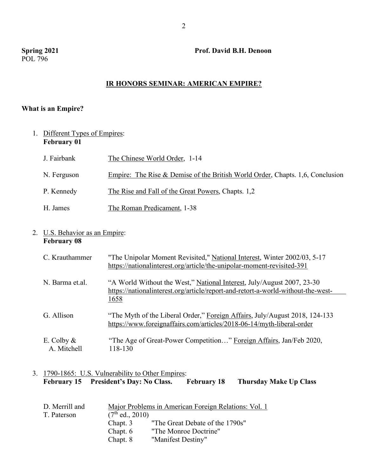# **Spring 2021 Prof. David B.H. Denoon**

### **IR HONORS SEMINAR: AMERICAN EMPIRE?**

## **What is an Empire?**

1. Different Types of Empires: **February 01**

| J. Fairbank | The Chinese World Order, 1-14                                                 |
|-------------|-------------------------------------------------------------------------------|
| N. Ferguson | Empire: The Rise & Demise of the British World Order, Chapts. 1,6, Conclusion |
| P. Kennedy  | The Rise and Fall of the Great Powers, Chapts. 1,2                            |
| H. James    | The Roman Predicament, 1-38                                                   |

### 2. U.S. Behavior as an Empire: **February 08**

| C. Krauthammer               | "The Unipolar Moment Revisited," National Interest, Winter 2002/03, 5-17<br>https://nationalinterest.org/article/the-unipolar-moment-revisited-391         |
|------------------------------|------------------------------------------------------------------------------------------------------------------------------------------------------------|
| N. Barma et al.              | "A World Without the West," National Interest, July/August 2007, 23-30<br>https://nationalinterest.org/article/report-and-retort-a-world-without-the-west- |
|                              | <u>1658</u>                                                                                                                                                |
| G. Allison                   | "The Myth of the Liberal Order," Foreign Affairs, July/August 2018, 124-133<br>https://www.foreignaffairs.com/articles/2018-06-14/myth-liberal-order       |
| E. Colby $\&$<br>A. Mitchell | "The Age of Great-Power Competition" Foreign Affairs, Jan/Feb 2020,<br>118-130                                                                             |

# 3. 1790-1865: U.S. Vulnerability to Other Empires:<br>February 15 President's Day: No Class. February 18 **February 15 President's Day: No Class. February 18 Thursday Make Up Class**

| D. Merrill and |                   | Major Problems in American Foreign Relations: Vol. 1 |
|----------------|-------------------|------------------------------------------------------|
| T. Paterson    | $(7th$ ed., 2010) |                                                      |
|                | Chapt. 3          | "The Great Debate of the 1790s"                      |
|                | Chapt. 6          | "The Monroe Doctrine"                                |
|                | Chapt. 8          | "Manifest Destiny"                                   |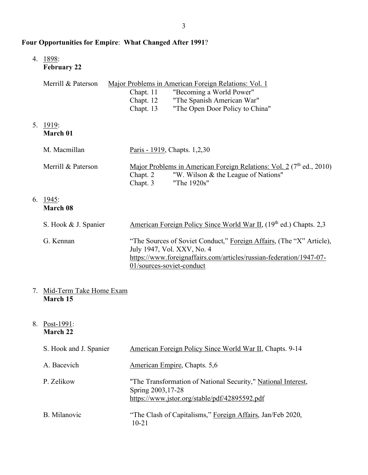# **Four Opportunities for Empire**: **What Changed After 1991**?

4. 1898:

5.

6.

**February 22**

| Merrill & Paterson        | Major Problems in American Foreign Relations: Vol. 1<br>"Becoming a World Power"<br>Chapt. 11<br>"The Spanish American War"<br>Chapt. 12<br>"The Open Door Policy to China"<br>Chapt. 13 |
|---------------------------|------------------------------------------------------------------------------------------------------------------------------------------------------------------------------------------|
| <u> 1919:</u><br>March 01 |                                                                                                                                                                                          |
| M. Macmillan              | Paris - 1919, Chapts. 1,2,30                                                                                                                                                             |
| Merrill & Paterson        | Major Problems in American Foreign Relations: Vol. 2 $(7th$ ed., 2010)<br>"W. Wilson & the League of Nations"<br>Chapt. 2<br>"The 1920s"<br>Chapt. 3                                     |
| 1945:<br>March 08         |                                                                                                                                                                                          |
| S. Hook & J. Spanier      | American Foreign Policy Since World War II, (19 <sup>th</sup> ed.) Chapts. 2,3                                                                                                           |

| G. Kennan | "The Sources of Soviet Conduct," Foreign Affairs, (The "X" Article), |
|-----------|----------------------------------------------------------------------|
|           | July 1947, Vol. XXV, No. 4                                           |
|           | https://www.foreignaffairs.com/articles/russian-federation/1947-07-  |
|           | 01/sources-soviet-conduct                                            |

# 7. Mid-Term Take Home Exam **March 15**

# 8. Post-1991: **March 22**

| S. Hook and J. Spanier | American Foreign Policy Since World War II, Chapts. 9-14                                                                             |
|------------------------|--------------------------------------------------------------------------------------------------------------------------------------|
| A. Bacevich            | American Empire, Chapts. 5,6                                                                                                         |
| P. Zelikow             | "The Transformation of National Security," National Interest,<br>Spring 2003, 17-28<br>https://www.jstor.org/stable/pdf/42895592.pdf |
| B. Milanovic           | "The Clash of Capitalisms," Foreign Affairs, Jan/Feb 2020,<br>$10 - 21$                                                              |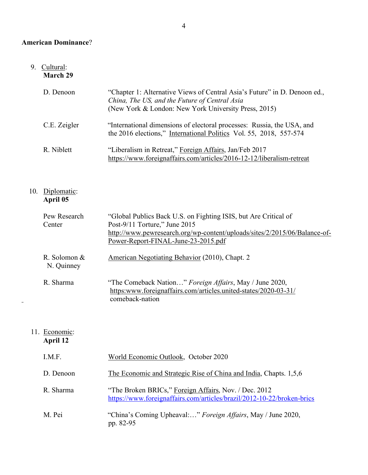# **American Dominance**?

#### 9. Cultural: **March 29**

| D. Denoon    | "Chapter 1: Alternative Views of Central Asia's Future" in D. Denoon ed.,<br>China, The US, and the Future of Central Asia<br>(New York & London: New York University Press, 2015) |
|--------------|------------------------------------------------------------------------------------------------------------------------------------------------------------------------------------|
| C.E. Zeigler | "International dimensions of electoral processes: Russia, the USA, and<br>the 2016 elections," International Politics Vol. 55, 2018, 557-574                                       |
| R. Niblett   | "Liberalism in Retreat," Foreign Affairs, Jan/Feb 2017<br>https://www.foreignaffairs.com/articles/2016-12-12/liberalism-retreat                                                    |

#### 10. Diplomatic: **April 05**

| Pew Research<br>Center     | "Global Publics Back U.S. on Fighting ISIS, but Are Critical of<br>Post-9/11 Torture," June 2015<br>http://www.pewresearch.org/wp-content/uploads/sites/2/2015/06/Balance-of-<br>Power-Report-FINAL-June-23-2015.pdf |
|----------------------------|----------------------------------------------------------------------------------------------------------------------------------------------------------------------------------------------------------------------|
| R. Solomon &<br>N. Quinney | American Negotiating Behavior (2010), Chapt. 2                                                                                                                                                                       |
| R. Sharma                  | "The Comeback Nation" Foreign Affairs, May / June 2020,<br>https:www.foreignaffairs.com/articles.united-states/2020-03-31/<br>comeback-nation                                                                        |

#### 11. Economic: **April 12**

| I.M.F.    | World Economic Outlook, October 2020                                                                                            |
|-----------|---------------------------------------------------------------------------------------------------------------------------------|
| D. Denoon | The Economic and Strategic Rise of China and India, Chapts. 1,5,6                                                               |
| R. Sharma | "The Broken BRICs," Foreign Affairs, Nov. / Dec. 2012<br>https://www.foreignaffairs.com/articles/brazil/2012-10-22/broken-brics |
| M. Pei    | "China's Coming Upheaval:" Foreign Affairs, May / June 2020,<br>pp. 82-95                                                       |